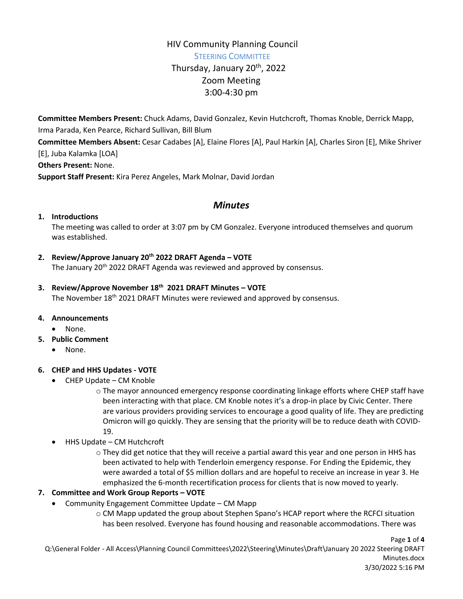## HIV Community Planning Council STEERING COMMITTEE Thursday, January 20<sup>th</sup>, 2022 Zoom Meeting 3:00-4:30 pm

**Committee Members Present:** Chuck Adams, David Gonzalez, Kevin Hutchcroft, Thomas Knoble, Derrick Mapp, Irma Parada, Ken Pearce, Richard Sullivan, Bill Blum

**Committee Members Absent:** Cesar Cadabes [A], Elaine Flores [A], Paul Harkin [A], Charles Siron [E], Mike Shriver [E], Juba Kalamka [LOA]

**Others Present:** None.

**Support Staff Present:** Kira Perez Angeles, Mark Molnar, David Jordan

## *Minutes*

### **1. Introductions**

The meeting was called to order at 3:07 pm by CM Gonzalez. Everyone introduced themselves and quorum was established.

### **2. Review/Approve January 20th 2022 DRAFT Agenda – VOTE**

The January 20<sup>th</sup> 2022 DRAFT Agenda was reviewed and approved by consensus.

# **3. Review/Approve November 18th 2021 DRAFT Minutes – VOTE**

The November 18<sup>th</sup> 2021 DRAFT Minutes were reviewed and approved by consensus.

### **4. Announcements**

- None.
- **5. Public Comment**
	- None.

### **6. CHEP and HHS Updates - VOTE**

- CHEP Update CM Knoble
	- o The mayor announced emergency response coordinating linkage efforts where CHEP staff have been interacting with that place. CM Knoble notes it's a drop-in place by Civic Center. There are various providers providing services to encourage a good quality of life. They are predicting Omicron will go quickly. They are sensing that the priority will be to reduce death with COVID-19.
- HHS Update CM Hutchcroft

o They did get notice that they will receive a partial award this year and one person in HHS has been activated to help with Tenderloin emergency response. For Ending the Epidemic, they were awarded a total of \$5 million dollars and are hopeful to receive an increase in year 3. He emphasized the 6-month recertification process for clients that is now moved to yearly.

### **7. Committee and Work Group Reports – VOTE**

- Community Engagement Committee Update CM Mapp
	- o CM Mapp updated the group about Stephen Spano's HCAP report where the RCFCI situation has been resolved. Everyone has found housing and reasonable accommodations. There was

Page **1** of **4** Q:\General Folder - All Access\Planning Council Committees\2022\Steering\Minutes\Draft\January 20 2022 Steering DRAFT Minutes.docx 3/30/2022 5:16 PM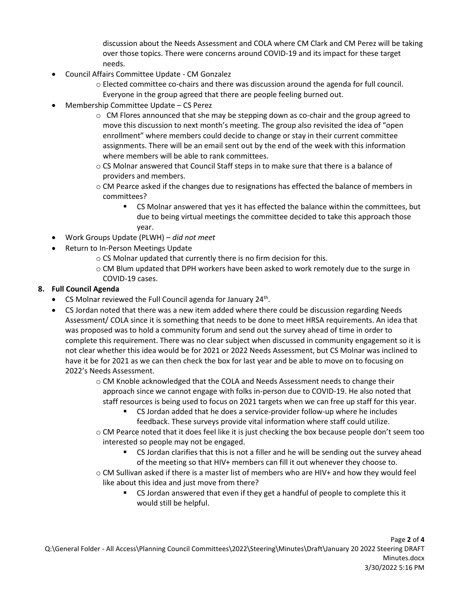discussion about the Needs Assessment and COLA where CM Clark and CM Perez will be taking over those topics. There were concerns around COVID-19 and its impact for these target needs.

- Council Affairs Committee Update CM Gonzalez
	- o Elected committee co-chairs and there was discussion around the agenda for full council. Everyone in the group agreed that there are people feeling burned out.
- Membership Committee Update CS Perez
	- $\circ$  CM Flores announced that she may be stepping down as co-chair and the group agreed to move this discussion to next month's meeting. The group also revisited the idea of "open enrollment" where members could decide to change or stay in their current committee assignments. There will be an email sent out by the end of the week with this information where members will be able to rank committees.
	- o CS Molnar answered that Council Staff steps in to make sure that there is a balance of providers and members.
	- o CM Pearce asked if the changes due to resignations has effected the balance of members in committees?
		- CS Molnar answered that yes it has effected the balance within the committees, but due to being virtual meetings the committee decided to take this approach those year.
- Work Groups Update (PLWH) *did not meet*
- Return to In-Person Meetings Update
	- o CS Molnar updated that currently there is no firm decision for this.
	- o CM Blum updated that DPH workers have been asked to work remotely due to the surge in COVID-19 cases.

### **8. Full Council Agenda**

- CS Molnar reviewed the Full Council agenda for January 24<sup>th</sup>.
- CS Jordan noted that there was a new item added where there could be discussion regarding Needs Assessment/ COLA since it is something that needs to be done to meet HRSA requirements. An idea that was proposed was to hold a community forum and send out the survey ahead of time in order to complete this requirement. There was no clear subject when discussed in community engagement so it is not clear whether this idea would be for 2021 or 2022 Needs Assessment, but CS Molnar was inclined to have it be for 2021 as we can then check the box for last year and be able to move on to focusing on 2022's Needs Assessment.
	- o CM Knoble acknowledged that the COLA and Needs Assessment needs to change their approach since we cannot engage with folks in-person due to COVID-19. He also noted that staff resources is being used to focus on 2021 targets when we can free up staff for this year.
		- CS Jordan added that he does a service-provider follow-up where he includes feedback. These surveys provide vital information where staff could utilize.
	- o CM Pearce noted that it does feel like it is just checking the box because people don't seem too interested so people may not be engaged.
		- **CS** Jordan clarifies that this is not a filler and he will be sending out the survey ahead of the meeting so that HIV+ members can fill it out whenever they choose to.
	- o CM Sullivan asked if there is a master list of members who are HIV+ and how they would feel like about this idea and just move from there?
		- CS Jordan answered that even if they get a handful of people to complete this it would still be helpful.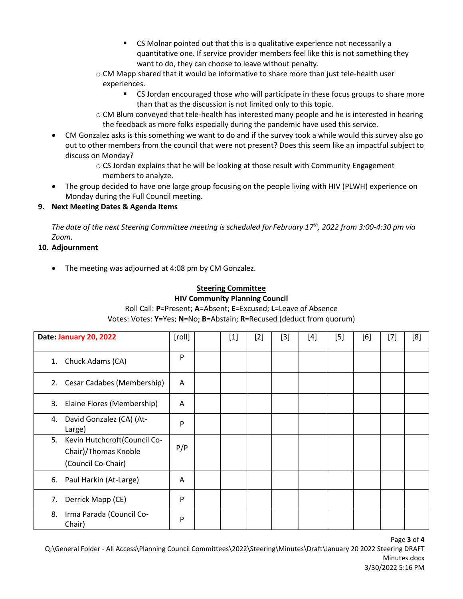- CS Molnar pointed out that this is a qualitative experience not necessarily a quantitative one. If service provider members feel like this is not something they want to do, they can choose to leave without penalty.
- o CM Mapp shared that it would be informative to share more than just tele-health user experiences.
	- CS Jordan encouraged those who will participate in these focus groups to share more than that as the discussion is not limited only to this topic.
- o CM Blum conveyed that tele-health has interested many people and he is interested in hearing the feedback as more folks especially during the pandemic have used this service.
- CM Gonzalez asks is this something we want to do and if the survey took a while would this survey also go out to other members from the council that were not present? Does this seem like an impactful subject to discuss on Monday?
	- o CS Jordan explains that he will be looking at those result with Community Engagement members to analyze.
- The group decided to have one large group focusing on the people living with HIV (PLWH) experience on Monday during the Full Council meeting.

## **9. Next Meeting Dates & Agenda Items**

*The date of the next Steering Committee meeting is scheduled for February 17th, 2022 from 3:00-4:30 pm via Zoom.*

### **10. Adjournment**

• The meeting was adjourned at 4:08 pm by CM Gonzalez.

## **Steering Committee**

#### **HIV Community Planning Council**

Roll Call: **P**=Present; **A**=Absent; **E**=Excused; **L**=Leave of Absence

Votes: Votes: **Y=**Yes; **N**=No; **B**=Abstain; **R**=Recused (deduct from quorum)

| Date: January 20, 2022 |                                                                            | [roll] | $[1] % \includegraphics[width=0.9\columnwidth]{figures/fig_1a} \caption{The figure shows the number of times on the right, and the number of times on the right, respectively. The left and right is the number of times on the right, respectively.} \label{fig:1} %$ | $[2]$ | $[3]$ | $[4]$ | $[5]$ | [6] | $[7]$ | [8] |
|------------------------|----------------------------------------------------------------------------|--------|------------------------------------------------------------------------------------------------------------------------------------------------------------------------------------------------------------------------------------------------------------------------|-------|-------|-------|-------|-----|-------|-----|
|                        | 1. Chuck Adams (CA)                                                        | P      |                                                                                                                                                                                                                                                                        |       |       |       |       |     |       |     |
| 2.                     | Cesar Cadabes (Membership)                                                 | A      |                                                                                                                                                                                                                                                                        |       |       |       |       |     |       |     |
| 3.                     | Elaine Flores (Membership)                                                 | A      |                                                                                                                                                                                                                                                                        |       |       |       |       |     |       |     |
| 4.                     | David Gonzalez (CA) (At-<br>Large)                                         | P      |                                                                                                                                                                                                                                                                        |       |       |       |       |     |       |     |
| 5.                     | Kevin Hutchcroft(Council Co-<br>Chair)/Thomas Knoble<br>(Council Co-Chair) | P/P    |                                                                                                                                                                                                                                                                        |       |       |       |       |     |       |     |
|                        | 6. Paul Harkin (At-Large)                                                  | A      |                                                                                                                                                                                                                                                                        |       |       |       |       |     |       |     |
| 7.                     | Derrick Mapp (CE)                                                          | P      |                                                                                                                                                                                                                                                                        |       |       |       |       |     |       |     |
| 8.                     | Irma Parada (Council Co-<br>Chair)                                         | P      |                                                                                                                                                                                                                                                                        |       |       |       |       |     |       |     |

Page **3** of **4**

Q:\General Folder - All Access\Planning Council Committees\2022\Steering\Minutes\Draft\January 20 2022 Steering DRAFT Minutes.docx